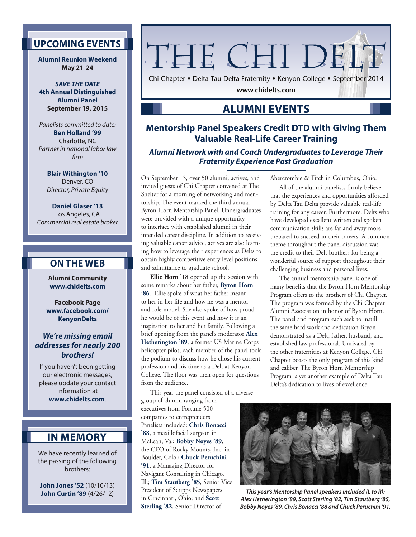# **UPCOMING EVENTS**

**Alumni Reunion Weekend May 21-24**

*SAVE THE DATE* **4th Annual Distinguished Alumni Panel September 19, 2015**

*Panelists committed to date:* **Ben Holland '99**  Charlotte, NC *Partner in national labor law firm*

**Blair Withington '10**  Denver, CO *Director, Private Equity*

**Daniel Glaser '13**  Los Angeles, CA *Commercial real estate broker*

## **ON THE WEB**

**Alumni Community www.chidelts.com**

**Facebook Page www.facebook.com/ KenyonDelts**

### *We're missing email addresses for nearly 200 brothers!*

If you haven't been getting our electronic messages, please update your contact information at **www.chidelts.com**.

# **IN MEMORY**

We have recently learned of the passing of the following brothers:

**John Jones '52** (10/10/13) **John Curtin '89** (4/26/12)

# THE CHI DEL'

Chi Chapter • Delta Tau Delta Fraternity • Kenyon College • September 2014

**www.chidelts.com**

# **ALUMNI EVENTS**

## **Mentorship Panel Speakers Credit DTD with Giving Them Valuable Real-Life Career Training**

*Alumni Network with and Coach Undergraduates to Leverage Their Fraternity Experience Past Graduation*

On September 13, over 50 alumni, actives, and invited guests of Chi Chapter convened at The Shelter for a morning of networking and mentorship. The event marked the third annual Byron Horn Mentorship Panel. Undergraduates were provided with a unique opportunity to interface with established alumni in their intended career discipline. In addition to receiving valuable career advice, actives are also learning how to leverage their experiences as Delts to obtain highly competitive entry level positions and admittance to graduate school.

**Ellie Horn '18** opened up the session with some remarks about her father, **Byron Horn '86**. Ellie spoke of what her father meant to her in her life and how he was a mentor and role model. She also spoke of how proud he would be of this event and how it is an inspiration to her and her family. Following a brief opening from the panel's moderator **Alex Hetherington '89**, a former US Marine Corps helicopter pilot, each member of the panel took the podium to discuss how he chose his current profession and his time as a Delt at Kenyon College. The floor was then open for questions from the audience.

This year the panel consisted of a diverse group of alumni ranging from executives from Fortune 500 companies to entrepreneurs. Panelists included: **Chris Bonacci '88**, a maxillofacial surgeon in McLean, Va.; **Bobby Noyes '89**, the CEO of Rocky Mounts, Inc. in Boulder, Colo.; **Chuck Peruchini '91**, a Managing Director for Navigant Consulting in Chicago, Ill.; **Tim Stautberg '85**, Senior Vice President of Scripps Newspapers in Cincinnati, Ohio; and **Scott Sterling '82**, Senior Director of

Abercrombie & Fitch in Columbus, Ohio.

All of the alumni panelists firmly believe that the experiences and opportunities afforded by Delta Tau Delta provide valuable real-life training for any career. Furthermore, Delts who have developed excellent written and spoken communication skills are far and away more prepared to succeed in their careers. A common theme throughout the panel discussion was the credit to their Delt brothers for being a wonderful source of support throughout their challenging business and personal lives.

The annual mentorship panel is one of many benefits that the Byron Horn Mentorship Program offers to the brothers of Chi Chapter. The program was formed by the Chi Chapter Alumni Association in honor of Byron Horn. The panel and program each seek to instill the same hard work and dedication Bryon demonstrated as a Delt, father, husband, and established law professional. Unrivaled by the other fraternities at Kenyon College, Chi Chapter boasts the only program of this kind and caliber. The Byron Horn Mentorship Program is yet another example of Delta Tau Delta's dedication to lives of excellence.



*This year's Mentorship Panel speakers included (L to R): Alex Hetherington '89, Scott Sterling '82, Tim Stautberg '85, Bobby Noyes '89, Chris Bonacci '88 and Chuck Peruchini '91.*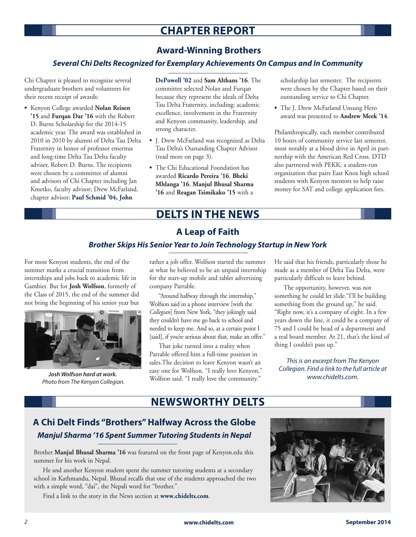# **CHAPTER REPORT**

## **Award-Winning Brothers**

### *Several Chi Delts Recognized for Exemplary Achievements On Campus and In Community*

Chi Chapter is pleased to recognize several undergraduate brothers and volunteers for their recent receipt of awards:

**•**  Kenyon College awarded **Nolan Reisen '15** and **Furqan Dar '16** with the Robert D. Burns Scholarship for the 2014-15 academic year. The award was established in 2010 in 2010 by alumni of Delta Tau Delta Fraternity in honor of professor emeritus and long-time Delta Tau Delta faculty adviser, Robert D. Burns. The recipients were chosen by a committee of alumni and advisors of Chi Chapter including Jan Kmetko, faculty advisor; Drew McFarland, chapter advisor; **Paul Schmid '04, John** 

**DePowell '02** and **Sam Althans '16**. The committee selected Nolan and Furqan because they represent the ideals of Delta Tau Delta Fraternity, including: academic excellence, involvement in the Fraternity and Kenyon community, leadership, and strong character.

- **•**  J. Drew McFarland was recognized as Delta Tau Delta's Oustanding Chapter Advisor (read more on page 3).
- **•**  The Chi Educational Foundation has awarded **Ricardo Pereira '16**, **Bheki Mhlanga '16**, **Manjul Bhusal Sharma '16** and **Reagan Tsimikako '15** with a

scholarship last semester. The recipients were chosen by the Chapter based on their outstanding service to Chi Chapter.

**•**  The J. Drew McFarland Unsung Hero award was presented to **Andrew Meek '14**.

Philanthropically, each member contributed 10 hours of community service last semester, most notably at a blood drive in April in partnership with the American Red Cross. DTD also partnered with PEKK, a student-run organization that pairs East Knox high school students with Kenyon mentors to help raise money for SAT and college application fees.

# **DELTS IN THE NEWS**

## **A Leap of Faith**

#### *Brother Skips His Senior Year to Join Technology Startup in New York*

For most Kenyon students, the end of the summer marks a crucial transition from internships and jobs back to academic life in Gambier. But for **Josh Wolfson**, formerly of the Class of 2015, the end of the summer did not bring the beginning of his senior year but



*Josh Wolfson hard at work. Photo from The Kenyon Collegian.*

rather a job offer. Wolfson started the summer at what he believed to be an unpaid internship for the start-up mobile and tablet advertising company Parrable.

"Around halfway through the internship," Wolfson said in a phone interview [with the *Collegian*] from New York, "they jokingly said they couldn't have me go back to school and needed to keep me. And so, at a certain point I [said], if you're serious about that, make an offer."

That joke turned into a reality when Parrable offered him a full-time position in sales.The decision to leave Kenyon wasn't an easy one for Wolfson. "I really love Kenyon," Wolfson said. "I really love the community."

He said that his friends, particularly those he made as a member of Delta Tau Delta, were particularly difficult to leave behind.

The opportunity, however, was not something he could let slide."I'll be building something from the ground up," he said. "Right now, it's a company of eight. In a few years down the line, it could be a company of 75 and I could be head of a department and a real board member. At 21, that's the kind of thing I couldn't pass up."

*This is an excerpt from The Kenyon Collegian. Find a link to the full article at www.chidelts.com.*

# **NEWSWORTHY DELTS**

# **A Chi Delt Finds "Brothers" Halfway Across the Globe** *Manjul Sharma '16 Spent Summer Tutoring Students in Nepal*

Brother **Manjul Bhusal Sharma '16** was featured on the front page of Kenyon.edu this summer for his work in Nepal.

He and another Kenyon student spent the summer tutoring students at a secondary school in Kathmandu, Nepal. Bhusal recalls that one of the students approached the two with a simple word, "dai", the Nepali word for "brother."

Find a link to the story in the News section at **www.chidelts.com**.

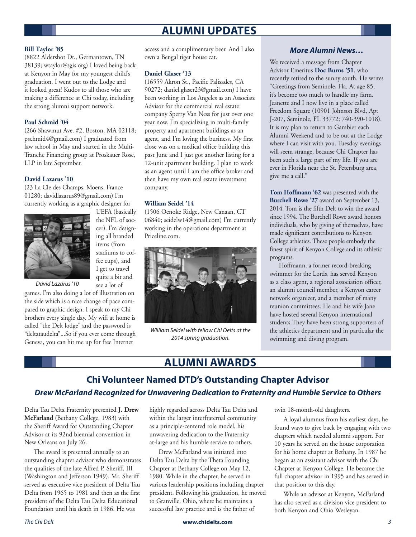# **ALUMNI UPDATES**

#### **Bill Taylor '85**

(8822 Aldershot Dr., Germantown, TN 38139; wtaylor@sgis.org) I loved being back at Kenyon in May for my youngest child's graduation. I went out to the Lodge and it looked great! Kudos to all those who are making a difference at Chi today, including the strong alumni support network.

#### **Paul Schmid '04**

(266 Shawmut Ave. #2, Boston, MA 02118; pschmid4@gmail.com) I graduated from law school in May and started in the Multi-Tranche Financing group at Proskauer Rose, LLP in late September.

#### **David Lazarus '10**

(23 La Cle des Champs, Moens, France 01280; davidlazarus89@gmail.com) I'm currently working as a graphic designer for



UEFA (basically the NFL of soccer). I'm designing all branded items (from stadiums to coffee cups), and I get to travel quite a bit and see a lot of

*David Lazarus '10*

games. I'm also doing a lot of illustration on the side which is a nice change of pace compared to graphic design. I speak to my Chi brothers every single day. My wifi at home is called "the Delt lodge" and the password is "deltataudelta"...So if you ever come through Geneva, you can hit me up for free Internet

access and a complimentary beer. And I also own a Bengal tiger house cat.

#### **Daniel Glaser '13**

(16559 Akron St., Pacific Palisades, CA 90272; daniel.glaser23@gmail.com) I have been working in Los Angeles as an Associate Advisor for the commercial real estate company Sperry Van Ness for just over one year now. I'm specializing in multi-family property and apartment buildings as an agent, and I'm loving the business. My first close was on a medical office building this past June and I just got another listing for a 12-unit apartment building. I plan to work as an agent until I am the office broker and then have my own real estate investment company.

#### **William Seidel '14**

(1506 Oenoke Ridge, New Canaan, CT 06840; seidelw14@gmail.com) I'm currently working in the operations department at Priceline.com.



*William Seidel with fellow Chi Delts at the 2014 spring graduation.*

#### *More Alumni News…*

We received a message from Chapter Advisor Emeritus **Doc Burns '51**, who recently retired to the sunny south. He writes "Greetings from Seminole, Fla. At age 85, it's become too much to handle my farm. Jeanette and I now live in a place called Freedom Square (10901 Johnson Blvd, Apt J-207, Seminole, FL 33772; 740-390-1018). It is my plan to return to Gambier each Alumni Weekend and to be out at the Lodge where I can visit with you. Tuesday evenings will seem strange, because Chi Chapter has been such a large part of my life. If you are ever in Florida near the St. Petersburg area, give me a call."

**Tom Hoffmann '62** was presented with the **Burchell Rowe '27** award on September 13, 2014. Tom is the fifth Delt to win the award since 1994. The Burchell Rowe award honors individuals, who by giving of themselves, have made significant contributions to Kenyon College athletics. These people embody the finest spirit of Kenyon College and its athletic programs.

Hoffmann, a former record-breaking swimmer for the Lords, has served Kenyon as a class agent, a regional association officer, an alumni council member, a Kenyon career network organizer, and a member of many reunion committees. He and his wife Jane have hosted several Kenyon international students.They have been strong supporters of the athletics department and in particular the swimming and diving program.

# **ALUMNI AWARDS**

# **Chi Volunteer Named DTD's Outstanding Chapter Advisor** *Drew McFarland Recognized for Unwavering Dedication to Fraternity and Humble Service to Others*

Delta Tau Delta Fraternity presented **J. Drew McFarland** (Bethany College, 1983) with the Sheriff Award for Outstanding Chapter Advisor at its 92nd biennial convention in New Orleans on July 26.

The award is presented annually to an outstanding chapter advisor who demonstrates the qualities of the late Alfred P. Sheriff, III (Washington and Jefferson 1949). Mr. Sheriff served as executive vice president of Delta Tau Delta from 1965 to 1981 and then as the first president of the Delta Tau Delta Educational Foundation until his death in 1986. He was

highly regarded across Delta Tau Delta and within the larger interfraternal community as a principle-centered role model, his unwavering dedication to the Fraternity at-large and his humble service to others.

Drew McFarland was initiated into Delta Tau Delta by the Theta Founding Chapter at Bethany College on May 12, 1980. While in the chapter, he served in various leadership positions including chapter president. Following his graduation, he moved to Granville, Ohio, where he maintains a successful law practice and is the father of

twin 18-month-old daughters.

A loyal alumnus from his earliest days, he found ways to give back by engaging with two chapters which needed alumni support. For 10 years he served on the house corporation for his home chapter at Bethany. In 1987 he began as an assistant advisor with the Chi Chapter at Kenyon College. He became the full chapter advisor in 1995 and has served in that position to this day.

While an advisor at Kenyon, McFarland has also served as a division vice president to both Kenyon and Ohio Wesleyan.